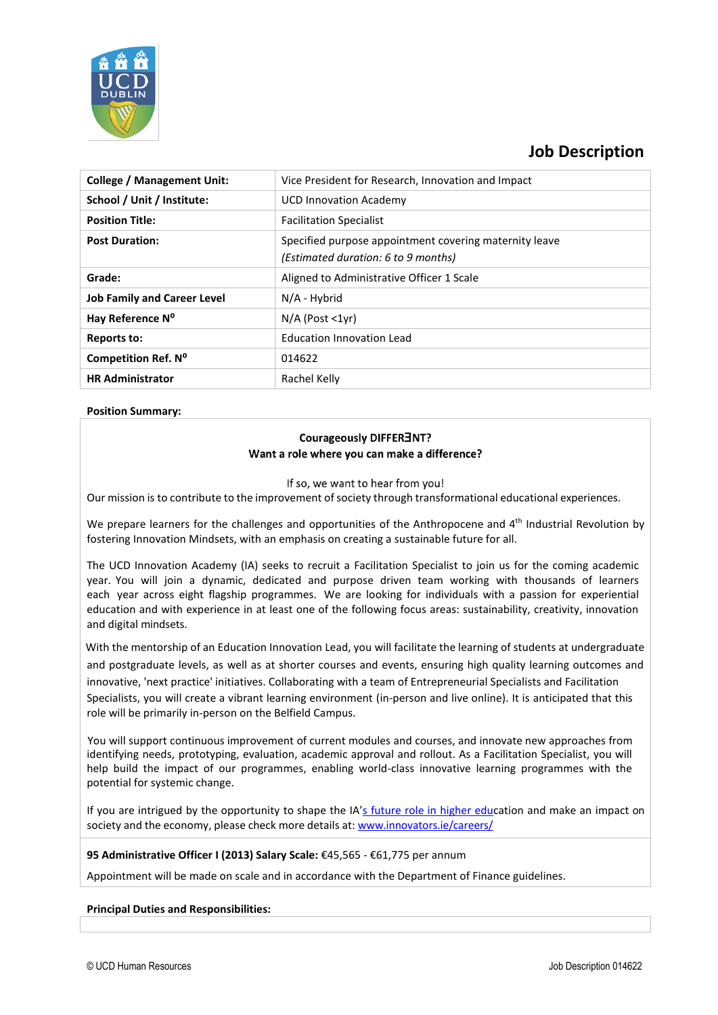

# **Job Description**

| <b>College / Management Unit:</b>  | Vice President for Research, Innovation and Impact                                            |
|------------------------------------|-----------------------------------------------------------------------------------------------|
| School / Unit / Institute:         | <b>UCD Innovation Academy</b>                                                                 |
| <b>Position Title:</b>             | <b>Facilitation Specialist</b>                                                                |
| <b>Post Duration:</b>              | Specified purpose appointment covering maternity leave<br>(Estimated duration: 6 to 9 months) |
| Grade:                             | Aligned to Administrative Officer 1 Scale                                                     |
| <b>Job Family and Career Level</b> | N/A - Hybrid                                                                                  |
| Hay Reference N <sup>o</sup>       | $N/A$ (Post $\langle 1vr \rangle$                                                             |
| Reports to:                        | <b>Education Innovation Lead</b>                                                              |
| <b>Competition Ref. Nº</b>         | 014622                                                                                        |
| <b>HR Administrator</b>            | Rachel Kelly                                                                                  |

## **Position Summary:**

# Courageously DIFFER3NT? Want a role where you can make a difference?

If so, we want to hear from you!

Our mission is to contribute to the improvement of society through transformational educational experiences.

We prepare learners for the challenges and opportunities of the Anthropocene and 4<sup>th</sup> Industrial Revolution by fostering Innovation Mindsets, with an emphasis on creating a sustainable future for all.

The UCD Innovation Academy (IA) seeks to recruit a Facilitation Specialist to join us for the coming academic year. You will join a dynamic, dedicated and purpose driven team working with thousands of learners each year across eight flagship programmes. We are looking for individuals with a passion for experiential education and with experience in at least one of the following focus areas: sustainability, creativity, innovation and digital mindsets.

With the mentorship of an Education Innovation Lead, you will facilitate the learning of students at undergraduate and postgraduate levels, as well as at shorter courses and events, ensuring high quality learning outcomes and innovative, 'next practice' initiatives. Collaborating with a team of Entrepreneurial Specialists and Facilitation Specialists, you will create a vibrant learning environment (in-person and live online). It is anticipated that this role will be primarily in-person on the Belfield Campus.

You will support continuous improvement of current modules and courses, and innovate new approaches from identifying needs, prototyping, evaluation, academic approval and rollout. As a Facilitation Specialist, you will help build the impact of our programmes, enabling world-class innovative learning programmes with the potential for systemic change.

If you are intrigued by the opportunity to shape the IA's future role in [higher](http://www.innovators.ie/careers/) education and make an impact on society and the economy, please check more details at: [www.innovators.ie/careers/](http://www.innovators.ie/careers/)

### **95 Administrative Officer I (2013) Salary Scale:** €45,565 - €61,775 per annum

Appointment will be made on scale and in accordance with the Department of Finance guidelines.

**Principal Duties and Responsibilities:**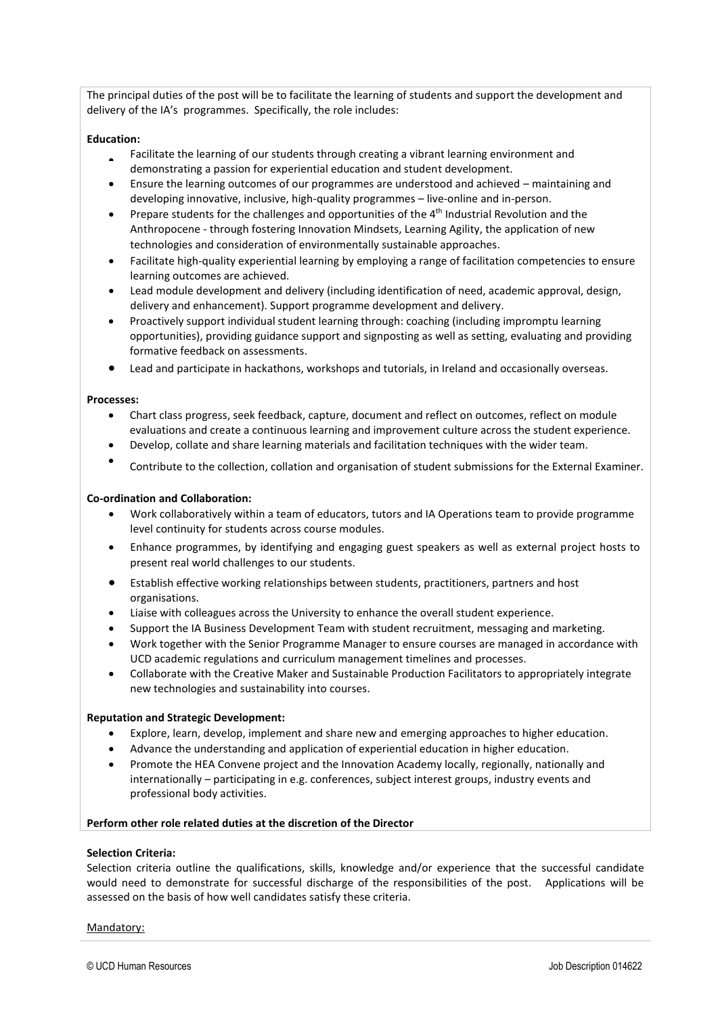The principal duties of the post will be to facilitate the learning of students and support the development and delivery of the IA's programmes. Specifically, the role includes:

### **Education:**

- Facilitate the learning of our students through creating a vibrant learning environment and demonstrating a passion for experiential education and student development.
- Ensure the learning outcomes of our programmes are understood and achieved maintaining and developing innovative, inclusive, high-quality programmes – live-online and in-person.
- Prepare students for the challenges and opportunities of the 4<sup>th</sup> Industrial Revolution and the Anthropocene - through fostering Innovation Mindsets, Learning Agility, the application of new technologies and consideration of environmentally sustainable approaches.
- Facilitate high-quality experiential learning by employing a range of facilitation competencies to ensure learning outcomes are achieved.
- Lead module development and delivery (including identification of need, academic approval, design, delivery and enhancement). Support programme development and delivery.
- Proactively support individual student learning through: coaching (including impromptu learning opportunities), providing guidance support and signposting as well as setting, evaluating and providing formative feedback on assessments.
- Lead and participate in hackathons, workshops and tutorials, in Ireland and occasionally overseas.

#### **Processes:**

- Chart class progress, seek feedback, capture, document and reflect on outcomes, reflect on module evaluations and create a continuous learning and improvement culture across the student experience.
- Develop, collate and share learning materials and facilitation techniques with the wider team.
- Contribute to the collection, collation and organisation of student submissions for the External Examiner.

#### **Co-ordination and Collaboration:**

- Work collaboratively within a team of educators, tutors and IA Operations team to provide programme level continuity for students across course modules.
- Enhance programmes, by identifying and engaging guest speakers as well as external project hosts to present real world challenges to our students.
- Establish effective working relationships between students, practitioners, partners and host organisations.
- Liaise with colleagues across the University to enhance the overall student experience.
- Support the IA Business Development Team with student recruitment, messaging and marketing.
- Work together with the Senior Programme Manager to ensure courses are managed in accordance with UCD academic regulations and curriculum management timelines and processes.
- Collaborate with the Creative Maker and Sustainable Production Facilitators to appropriately integrate new technologies and sustainability into courses.

#### **Reputation and Strategic Development:**

- Explore, learn, develop, implement and share new and emerging approaches to higher education.
- Advance the understanding and application of experiential education in higher education.
- Promote the HEA Convene project and the Innovation Academy locally, regionally, nationally and internationally – participating in e.g. conferences, subject interest groups, industry events and professional body activities.

#### **Perform other role related duties at the discretion of the Director**

#### **Selection Criteria:**

Selection criteria outline the qualifications, skills, knowledge and/or experience that the successful candidate would need to demonstrate for successful discharge of the responsibilities of the post. Applications will be assessed on the basis of how well candidates satisfy these criteria.

#### Mandatory: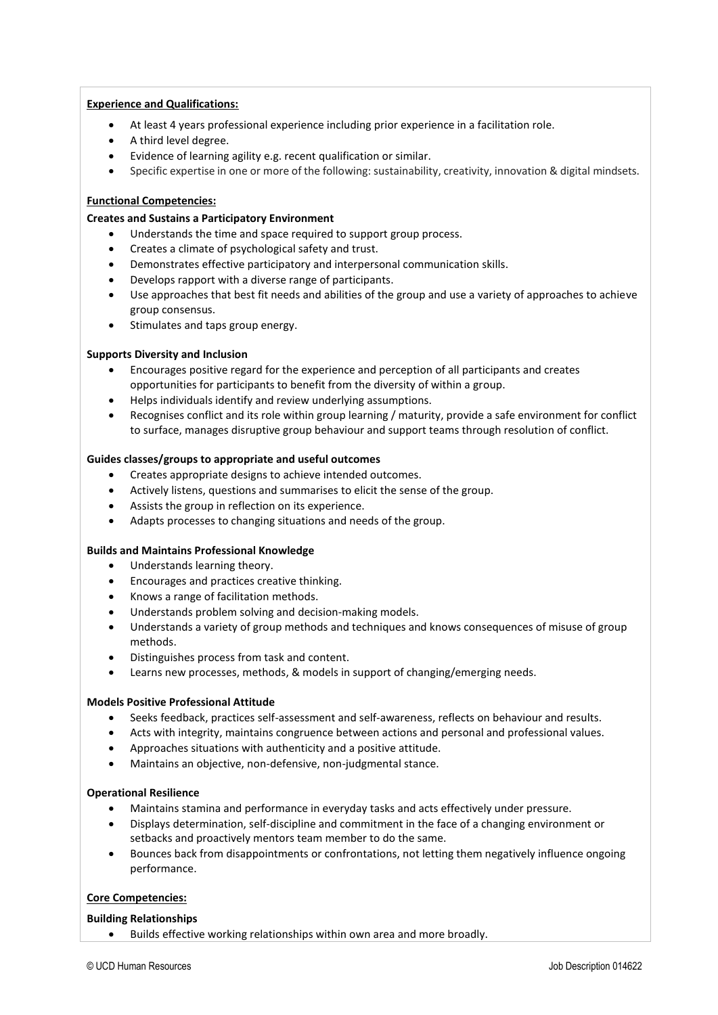## **Experience and Qualifications:**

- At least 4 years professional experience including prior experience in a facilitation role.
- A third level degree.
- Evidence of learning agility e.g. recent qualification or similar.
- Specific expertise in one or more of the following: sustainability, creativity, innovation & digital mindsets.

## **Functional Competencies:**

## **Creates and Sustains a Participatory Environment**

- Understands the time and space required to support group process.
- Creates a climate of psychological safety and trust.
- Demonstrates effective participatory and interpersonal communication skills.
- Develops rapport with a diverse range of participants.
- Use approaches that best fit needs and abilities of the group and use a variety of approaches to achieve group consensus.
- Stimulates and taps group energy.

## **Supports Diversity and Inclusion**

- Encourages positive regard for the experience and perception of all participants and creates opportunities for participants to benefit from the diversity of within a group.
- Helps individuals identify and review underlying assumptions.
- Recognises conflict and its role within group learning / maturity, provide a safe environment for conflict to surface, manages disruptive group behaviour and support teams through resolution of conflict.

### **Guides classes/groups to appropriate and useful outcomes**

- Creates appropriate designs to achieve intended outcomes.
- Actively listens, questions and summarises to elicit the sense of the group.
- Assists the group in reflection on its experience.
- Adapts processes to changing situations and needs of the group.

# **Builds and Maintains Professional Knowledge**

- Understands learning theory.
- Encourages and practices creative thinking.
- Knows a range of facilitation methods.
- Understands problem solving and decision-making models.
- Understands a variety of group methods and techniques and knows consequences of misuse of group methods.
- Distinguishes process from task and content.
- Learns new processes, methods, & models in support of changing/emerging needs.

### **Models Positive Professional Attitude**

- Seeks feedback, practices self-assessment and self-awareness, reflects on behaviour and results.
- Acts with integrity, maintains congruence between actions and personal and professional values.
- Approaches situations with authenticity and a positive attitude.
- Maintains an objective, non-defensive, non-judgmental stance.

### **Operational Resilience**

- Maintains stamina and performance in everyday tasks and acts effectively under pressure.
- Displays determination, self-discipline and commitment in the face of a changing environment or setbacks and proactively mentors team member to do the same.
- Bounces back from disappointments or confrontations, not letting them negatively influence ongoing performance.

# **Core Competencies:**

### **Building Relationships**

• Builds effective working relationships within own area and more broadly.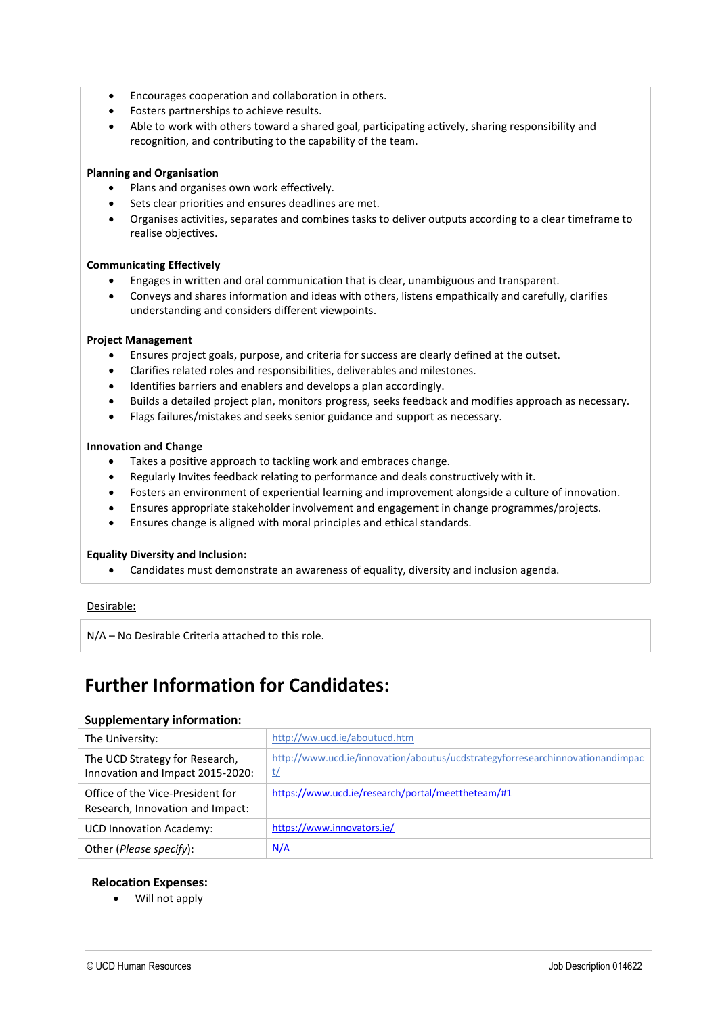- Encourages cooperation and collaboration in others.
- Fosters partnerships to achieve results.
- Able to work with others toward a shared goal, participating actively, sharing responsibility and recognition, and contributing to the capability of the team.

## **Planning and Organisation**

- Plans and organises own work effectively.
- Sets clear priorities and ensures deadlines are met.
- Organises activities, separates and combines tasks to deliver outputs according to a clear timeframe to realise objectives.

### **Communicating Effectively**

- Engages in written and oral communication that is clear, unambiguous and transparent.
- Conveys and shares information and ideas with others, listens empathically and carefully, clarifies understanding and considers different viewpoints.

### **Project Management**

- Ensures project goals, purpose, and criteria for success are clearly defined at the outset.
- Clarifies related roles and responsibilities, deliverables and milestones.
- Identifies barriers and enablers and develops a plan accordingly.
- Builds a detailed project plan, monitors progress, seeks feedback and modifies approach as necessary.
- Flags failures/mistakes and seeks senior guidance and support as necessary.

### **Innovation and Change**

- Takes a positive approach to tackling work and embraces change.
- Regularly Invites feedback relating to performance and deals constructively with it.
- Fosters an environment of experiential learning and improvement alongside a culture of innovation.
- Ensures appropriate stakeholder involvement and engagement in change programmes/projects.
- Ensures change is aligned with moral principles and ethical standards.

### **Equality Diversity and Inclusion:**

• Candidates must demonstrate an awareness of equality, diversity and inclusion agenda.

### Desirable:

N/A – No Desirable Criteria attached to this role.

# **Further Information for Candidates:**

### **Supplementary information:**

| The University:                                                      | http://ww.ucd.ie/aboutucd.htm                                                       |
|----------------------------------------------------------------------|-------------------------------------------------------------------------------------|
| The UCD Strategy for Research,<br>Innovation and Impact 2015-2020:   | http://www.ucd.ie/innovation/aboutus/ucdstrategyforresearchinnovationandimpac<br>t/ |
| Office of the Vice-President for<br>Research, Innovation and Impact: | https://www.ucd.ie/research/portal/meettheteam/#1                                   |
| <b>UCD Innovation Academy:</b>                                       | https://www.innovators.ie/                                                          |
| Other ( <i>Please specify</i> ):                                     | N/A                                                                                 |

# **Relocation Expenses:**

• Will not apply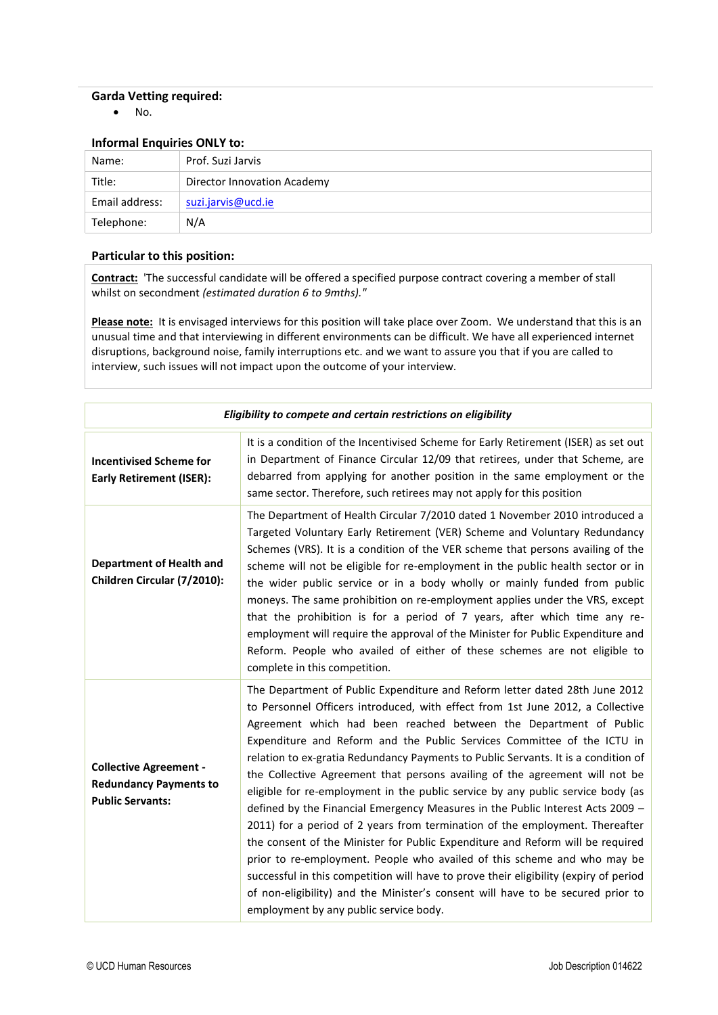## **Garda Vetting required:**

• No.

## **Informal Enquiries ONLY to:**

| Name:          | Prof. Suzi Jarvis           |
|----------------|-----------------------------|
| Title:         | Director Innovation Academy |
| Email address: | suzi.jarvis@ucd.ie          |
| Telephone:     | N/A                         |

## **Particular to this position:**

**Contract:** 'The successful candidate will be offered a specified purpose contract covering a member of stall whilst on secondment *(estimated duration 6 to 9mths)."*

Please note: It is envisaged interviews for this position will take place over Zoom. We understand that this is an unusual time and that interviewing in different environments can be difficult. We have all experienced internet disruptions, background noise, family interruptions etc. and we want to assure you that if you are called to interview, such issues will not impact upon the outcome of your interview.

| Eligibility to compete and certain restrictions on eligibility                            |                                                                                                                                                                                                                                                                                                                                                                                                                                                                                                                                                                                                                                                                                                                                                                                                                                                                                                                                                                                                                                                                                                                             |  |
|-------------------------------------------------------------------------------------------|-----------------------------------------------------------------------------------------------------------------------------------------------------------------------------------------------------------------------------------------------------------------------------------------------------------------------------------------------------------------------------------------------------------------------------------------------------------------------------------------------------------------------------------------------------------------------------------------------------------------------------------------------------------------------------------------------------------------------------------------------------------------------------------------------------------------------------------------------------------------------------------------------------------------------------------------------------------------------------------------------------------------------------------------------------------------------------------------------------------------------------|--|
| <b>Incentivised Scheme for</b><br><b>Early Retirement (ISER):</b>                         | It is a condition of the Incentivised Scheme for Early Retirement (ISER) as set out<br>in Department of Finance Circular 12/09 that retirees, under that Scheme, are<br>debarred from applying for another position in the same employment or the<br>same sector. Therefore, such retirees may not apply for this position                                                                                                                                                                                                                                                                                                                                                                                                                                                                                                                                                                                                                                                                                                                                                                                                  |  |
| <b>Department of Health and</b><br>Children Circular (7/2010):                            | The Department of Health Circular 7/2010 dated 1 November 2010 introduced a<br>Targeted Voluntary Early Retirement (VER) Scheme and Voluntary Redundancy<br>Schemes (VRS). It is a condition of the VER scheme that persons availing of the<br>scheme will not be eligible for re-employment in the public health sector or in<br>the wider public service or in a body wholly or mainly funded from public<br>moneys. The same prohibition on re-employment applies under the VRS, except<br>that the prohibition is for a period of 7 years, after which time any re-<br>employment will require the approval of the Minister for Public Expenditure and<br>Reform. People who availed of either of these schemes are not eligible to<br>complete in this competition.                                                                                                                                                                                                                                                                                                                                                    |  |
| <b>Collective Agreement -</b><br><b>Redundancy Payments to</b><br><b>Public Servants:</b> | The Department of Public Expenditure and Reform letter dated 28th June 2012<br>to Personnel Officers introduced, with effect from 1st June 2012, a Collective<br>Agreement which had been reached between the Department of Public<br>Expenditure and Reform and the Public Services Committee of the ICTU in<br>relation to ex-gratia Redundancy Payments to Public Servants. It is a condition of<br>the Collective Agreement that persons availing of the agreement will not be<br>eligible for re-employment in the public service by any public service body (as<br>defined by the Financial Emergency Measures in the Public Interest Acts 2009 -<br>2011) for a period of 2 years from termination of the employment. Thereafter<br>the consent of the Minister for Public Expenditure and Reform will be required<br>prior to re-employment. People who availed of this scheme and who may be<br>successful in this competition will have to prove their eligibility (expiry of period<br>of non-eligibility) and the Minister's consent will have to be secured prior to<br>employment by any public service body. |  |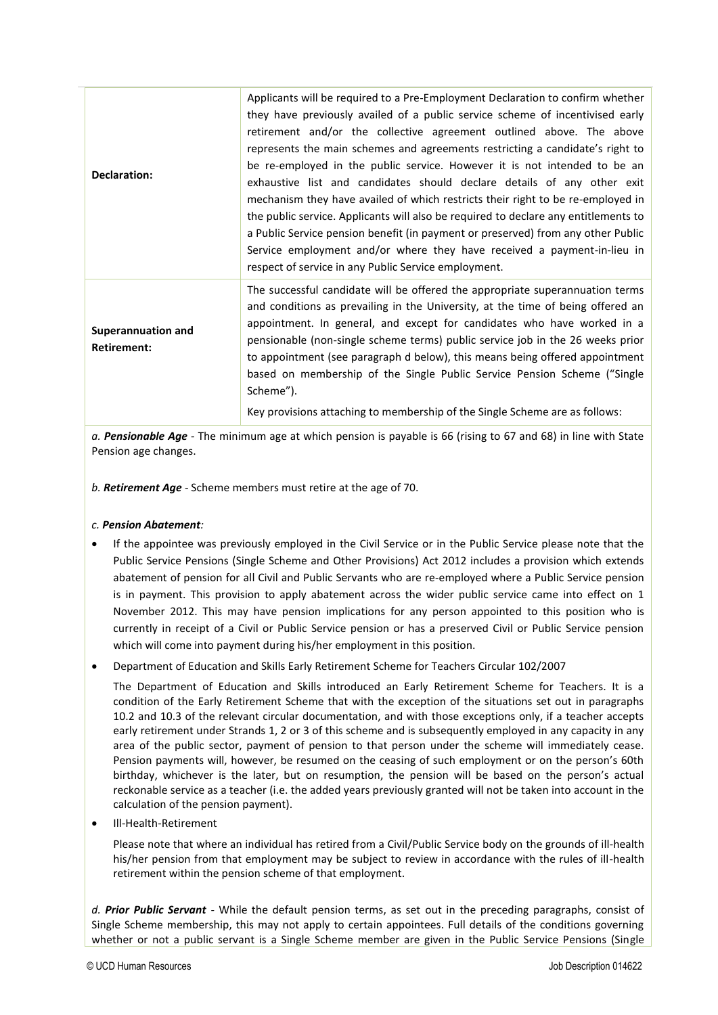| Declaration:                                    | Applicants will be required to a Pre-Employment Declaration to confirm whether<br>they have previously availed of a public service scheme of incentivised early<br>retirement and/or the collective agreement outlined above. The above<br>represents the main schemes and agreements restricting a candidate's right to<br>be re-employed in the public service. However it is not intended to be an<br>exhaustive list and candidates should declare details of any other exit<br>mechanism they have availed of which restricts their right to be re-employed in<br>the public service. Applicants will also be required to declare any entitlements to<br>a Public Service pension benefit (in payment or preserved) from any other Public<br>Service employment and/or where they have received a payment-in-lieu in<br>respect of service in any Public Service employment. |
|-------------------------------------------------|-----------------------------------------------------------------------------------------------------------------------------------------------------------------------------------------------------------------------------------------------------------------------------------------------------------------------------------------------------------------------------------------------------------------------------------------------------------------------------------------------------------------------------------------------------------------------------------------------------------------------------------------------------------------------------------------------------------------------------------------------------------------------------------------------------------------------------------------------------------------------------------|
| <b>Superannuation and</b><br><b>Retirement:</b> | The successful candidate will be offered the appropriate superannuation terms<br>and conditions as prevailing in the University, at the time of being offered an<br>appointment. In general, and except for candidates who have worked in a<br>pensionable (non-single scheme terms) public service job in the 26 weeks prior<br>to appointment (see paragraph d below), this means being offered appointment<br>based on membership of the Single Public Service Pension Scheme ("Single<br>Scheme").<br>Key provisions attaching to membership of the Single Scheme are as follows:                                                                                                                                                                                                                                                                                             |

*a. Pensionable Age -* The minimum age at which pension is payable is 66 (rising to 67 and 68) in line with State Pension age changes.

*b. Retirement Age -* Scheme members must retire at the age of 70.

### *c. Pension Abatement:*

- If the appointee was previously employed in the Civil Service or in the Public Service please note that the Public Service Pensions (Single Scheme and Other Provisions) Act 2012 includes a provision which extends abatement of pension for all Civil and Public Servants who are re-employed where a Public Service pension is in payment. This provision to apply abatement across the wider public service came into effect on 1 November 2012. This may have pension implications for any person appointed to this position who is currently in receipt of a Civil or Public Service pension or has a preserved Civil or Public Service pension which will come into payment during his/her employment in this position.
- Department of Education and Skills Early Retirement Scheme for Teachers Circular 102/2007

The Department of Education and Skills introduced an Early Retirement Scheme for Teachers. It is a condition of the Early Retirement Scheme that with the exception of the situations set out in paragraphs 10.2 and 10.3 of the relevant circular documentation, and with those exceptions only, if a teacher accepts early retirement under Strands 1, 2 or 3 of this scheme and is subsequently employed in any capacity in any area of the public sector, payment of pension to that person under the scheme will immediately cease. Pension payments will, however, be resumed on the ceasing of such employment or on the person's 60th birthday, whichever is the later, but on resumption, the pension will be based on the person's actual reckonable service as a teacher (i.e. the added years previously granted will not be taken into account in the calculation of the pension payment).

• Ill-Health-Retirement

Please note that where an individual has retired from a Civil/Public Service body on the grounds of ill-health his/her pension from that employment may be subject to review in accordance with the rules of ill-health retirement within the pension scheme of that employment.

*d. Prior Public Servant -* While the default pension terms, as set out in the preceding paragraphs, consist of Single Scheme membership, this may not apply to certain appointees. Full details of the conditions governing whether or not a public servant is a Single Scheme member are given in the Public Service Pensions (Single